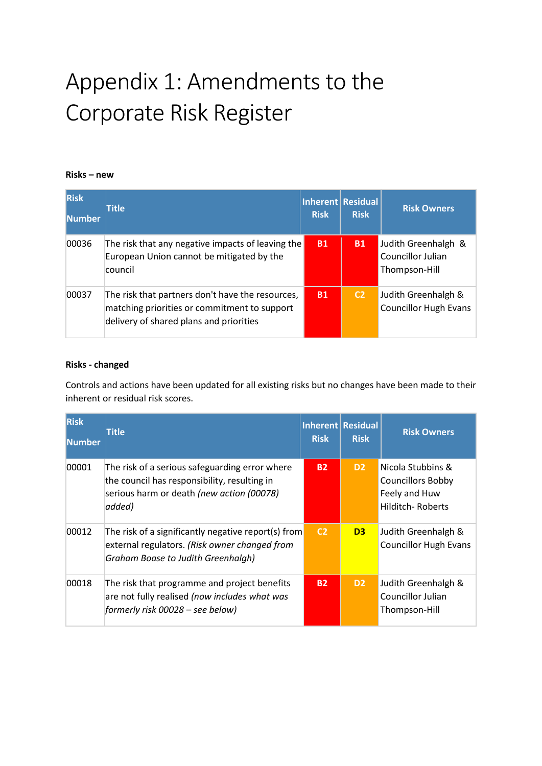# Appendix 1: Amendments to the Corporate Risk Register

### **Risks – new**

| <b>Risk</b><br><b>Number</b> | Title                                                                                                                                       | Inherent Residual<br><b>Risk</b> | <b>Risk</b>    | <b>Risk Owners</b>                                        |
|------------------------------|---------------------------------------------------------------------------------------------------------------------------------------------|----------------------------------|----------------|-----------------------------------------------------------|
| 00036                        | The risk that any negative impacts of leaving the<br>European Union cannot be mitigated by the<br>council                                   | <b>B1</b>                        | <b>B1</b>      | Judith Greenhalgh &<br>Councillor Julian<br>Thompson-Hill |
| 00037                        | The risk that partners don't have the resources,<br>matching priorities or commitment to support<br>delivery of shared plans and priorities | <b>B1</b>                        | C <sub>2</sub> | Judith Greenhalgh &<br><b>Councillor Hugh Evans</b>       |

#### **Risks - changed**

Controls and actions have been updated for all existing risks but no changes have been made to their inherent or residual risk scores.

| <b>Risk</b><br>lNumber | <b>Title</b>                                                                                                                                          | <b>Risk</b>    | Inherent Residual<br><b>Risk</b> | <b>Risk Owners</b>                                                                        |
|------------------------|-------------------------------------------------------------------------------------------------------------------------------------------------------|----------------|----------------------------------|-------------------------------------------------------------------------------------------|
| 00001                  | The risk of a serious safeguarding error where<br>the council has responsibility, resulting in<br>serious harm or death (new action (00078)<br>added) | <b>B2</b>      | D <sub>2</sub>                   | Nicola Stubbins &<br><b>Councillors Bobby</b><br>Feely and Huw<br><b>Hilditch-Roberts</b> |
| 00012                  | The risk of a significantly negative report(s) from<br>external regulators. (Risk owner changed from<br>Graham Boase to Judith Greenhalgh)            | C <sub>2</sub> | D <sub>3</sub>                   | Judith Greenhalgh &<br><b>Councillor Hugh Evans</b>                                       |
| 00018                  | The risk that programme and project benefits<br>are not fully realised (now includes what was<br>formerly risk 00028 - see below)                     | <b>B2</b>      | D <sub>2</sub>                   | Judith Greenhalgh &<br>Councillor Julian<br>Thompson-Hill                                 |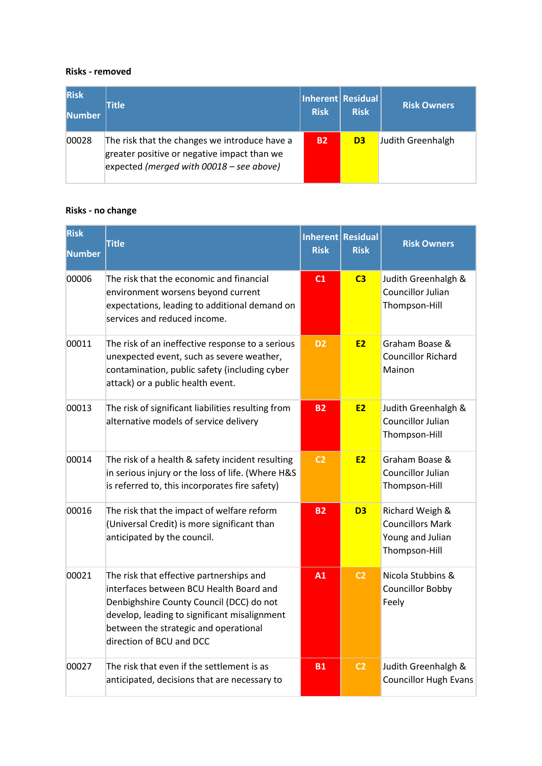#### **Risks - removed**

| <b>Risk</b><br>Number | <b>Title</b>                                                                                                                               | <b>Risk</b> | Inherent   Residual  <br><b>Risk</b> | <b>Risk Owners</b> |
|-----------------------|--------------------------------------------------------------------------------------------------------------------------------------------|-------------|--------------------------------------|--------------------|
| 00028                 | The risk that the changes we introduce have a<br>greater positive or negative impact than we<br>expected (merged with $00018$ – see above) | <b>B2</b>   | D <sub>3</sub>                       | Judith Greenhalgh  |

## **Risks - no change**

| <b>Risk</b><br><b>Number</b> | <b>Title</b>                                                                                                                                                                                                                                         | <b>Risk</b>    | Inherent Residual<br><b>Risk</b> | <b>Risk Owners</b>                                                              |
|------------------------------|------------------------------------------------------------------------------------------------------------------------------------------------------------------------------------------------------------------------------------------------------|----------------|----------------------------------|---------------------------------------------------------------------------------|
| 00006                        | The risk that the economic and financial<br>environment worsens beyond current<br>expectations, leading to additional demand on<br>services and reduced income.                                                                                      | C1             | C <sub>3</sub>                   | Judith Greenhalgh &<br><b>Councillor Julian</b><br>Thompson-Hill                |
| 00011                        | The risk of an ineffective response to a serious<br>unexpected event, such as severe weather,<br>contamination, public safety (including cyber<br>attack) or a public health event.                                                                  | D <sub>2</sub> | <b>E2</b>                        | Graham Boase &<br><b>Councillor Richard</b><br>Mainon                           |
| 00013                        | The risk of significant liabilities resulting from<br>alternative models of service delivery                                                                                                                                                         | <b>B2</b>      | <b>E2</b>                        | Judith Greenhalgh &<br>Councillor Julian<br>Thompson-Hill                       |
| 00014                        | The risk of a health & safety incident resulting<br>in serious injury or the loss of life. (Where H&S<br>is referred to, this incorporates fire safety)                                                                                              | C <sub>2</sub> | <b>E2</b>                        | Graham Boase &<br>Councillor Julian<br>Thompson-Hill                            |
| 00016                        | The risk that the impact of welfare reform<br>(Universal Credit) is more significant than<br>anticipated by the council.                                                                                                                             | <b>B2</b>      | D <sub>3</sub>                   | Richard Weigh &<br><b>Councillors Mark</b><br>Young and Julian<br>Thompson-Hill |
| 00021                        | The risk that effective partnerships and<br>interfaces between BCU Health Board and<br>Denbighshire County Council (DCC) do not<br>develop, leading to significant misalignment<br>between the strategic and operational<br>direction of BCU and DCC | A1             | C <sub>2</sub>                   | Nicola Stubbins &<br><b>Councillor Bobby</b><br>Feely                           |
| 00027                        | The risk that even if the settlement is as<br>anticipated, decisions that are necessary to                                                                                                                                                           | <b>B1</b>      | C <sub>2</sub>                   | Judith Greenhalgh &<br><b>Councillor Hugh Evans</b>                             |